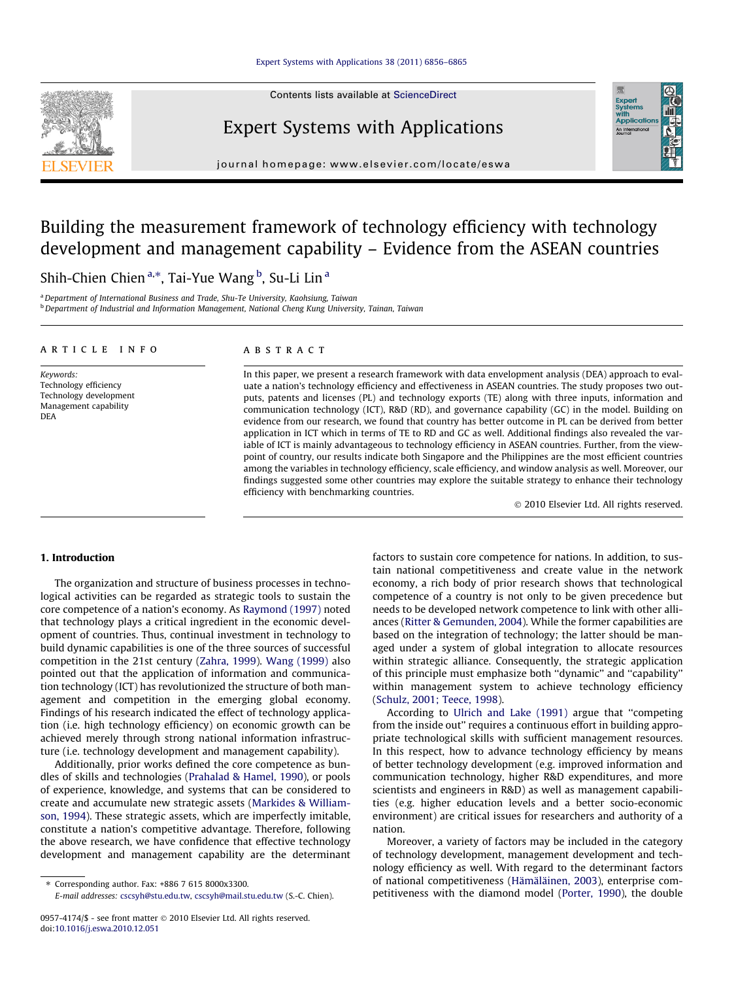Contents lists available at [ScienceDirect](http://www.sciencedirect.com/science/journal/09574174)



journal homepage: [www.elsevier.com/locate/eswa](http://www.elsevier.com/locate/eswa)

## Building the measurement framework of technology efficiency with technology development and management capability – Evidence from the ASEAN countries

Shih-Chien Chien <sup>a,</sup>\*, Tai-Yue Wang <sup>b</sup>, Su-Li Lin <sup>a</sup>

<sup>a</sup>Department of International Business and Trade, Shu-Te University, Kaohsiung, Taiwan <sup>b</sup> Department of Industrial and Information Management, National Cheng Kung University, Tainan, Taiwan

#### article info

Keywords: Technology efficiency Technology development Management capability DEA

#### ABSTRACT

In this paper, we present a research framework with data envelopment analysis (DEA) approach to evaluate a nation's technology efficiency and effectiveness in ASEAN countries. The study proposes two outputs, patents and licenses (PL) and technology exports (TE) along with three inputs, information and communication technology (ICT), R&D (RD), and governance capability (GC) in the model. Building on evidence from our research, we found that country has better outcome in PL can be derived from better application in ICT which in terms of TE to RD and GC as well. Additional findings also revealed the variable of ICT is mainly advantageous to technology efficiency in ASEAN countries. Further, from the viewpoint of country, our results indicate both Singapore and the Philippines are the most efficient countries among the variables in technology efficiency, scale efficiency, and window analysis as well. Moreover, our findings suggested some other countries may explore the suitable strategy to enhance their technology efficiency with benchmarking countries.

- 2010 Elsevier Ltd. All rights reserved.

**Exper** 

### 1. Introduction

The organization and structure of business processes in technological activities can be regarded as strategic tools to sustain the core competence of a nation's economy. As [Raymond \(1997\)](#page--1-0) noted that technology plays a critical ingredient in the economic development of countries. Thus, continual investment in technology to build dynamic capabilities is one of the three sources of successful competition in the 21st century ([Zahra, 1999](#page--1-0)). [Wang \(1999\)](#page--1-0) also pointed out that the application of information and communication technology (ICT) has revolutionized the structure of both management and competition in the emerging global economy. Findings of his research indicated the effect of technology application (i.e. high technology efficiency) on economic growth can be achieved merely through strong national information infrastructure (i.e. technology development and management capability).

Additionally, prior works defined the core competence as bundles of skills and technologies ([Prahalad & Hamel, 1990](#page--1-0)), or pools of experience, knowledge, and systems that can be considered to create and accumulate new strategic assets [\(Markides & William](#page--1-0)[son, 1994\)](#page--1-0). These strategic assets, which are imperfectly imitable, constitute a nation's competitive advantage. Therefore, following the above research, we have confidence that effective technology development and management capability are the determinant factors to sustain core competence for nations. In addition, to sustain national competitiveness and create value in the network economy, a rich body of prior research shows that technological competence of a country is not only to be given precedence but needs to be developed network competence to link with other alliances ([Ritter & Gemunden, 2004\)](#page--1-0). While the former capabilities are based on the integration of technology; the latter should be managed under a system of global integration to allocate resources within strategic alliance. Consequently, the strategic application of this principle must emphasize both ''dynamic'' and ''capability'' within management system to achieve technology efficiency ([Schulz, 2001; Teece, 1998](#page--1-0)).

According to [Ulrich and Lake \(1991\)](#page--1-0) argue that ''competing from the inside out'' requires a continuous effort in building appropriate technological skills with sufficient management resources. In this respect, how to advance technology efficiency by means of better technology development (e.g. improved information and communication technology, higher R&D expenditures, and more scientists and engineers in R&D) as well as management capabilities (e.g. higher education levels and a better socio-economic environment) are critical issues for researchers and authority of a nation.

Moreover, a variety of factors may be included in the category of technology development, management development and technology efficiency as well. With regard to the determinant factors of national competitiveness [\(Hämäläinen, 2003\)](#page--1-0), enterprise competitiveness with the diamond model [\(Porter, 1990\)](#page--1-0), the double

<sup>⇑</sup> Corresponding author. Fax: +886 7 615 8000x3300.

E-mail addresses: [cscsyh@stu.edu.tw,](mailto:cscsyh@stu.edu.tw) [cscsyh@mail.stu.edu.tw](mailto:cscsyh@mail.stu.edu.tw) (S.-C. Chien).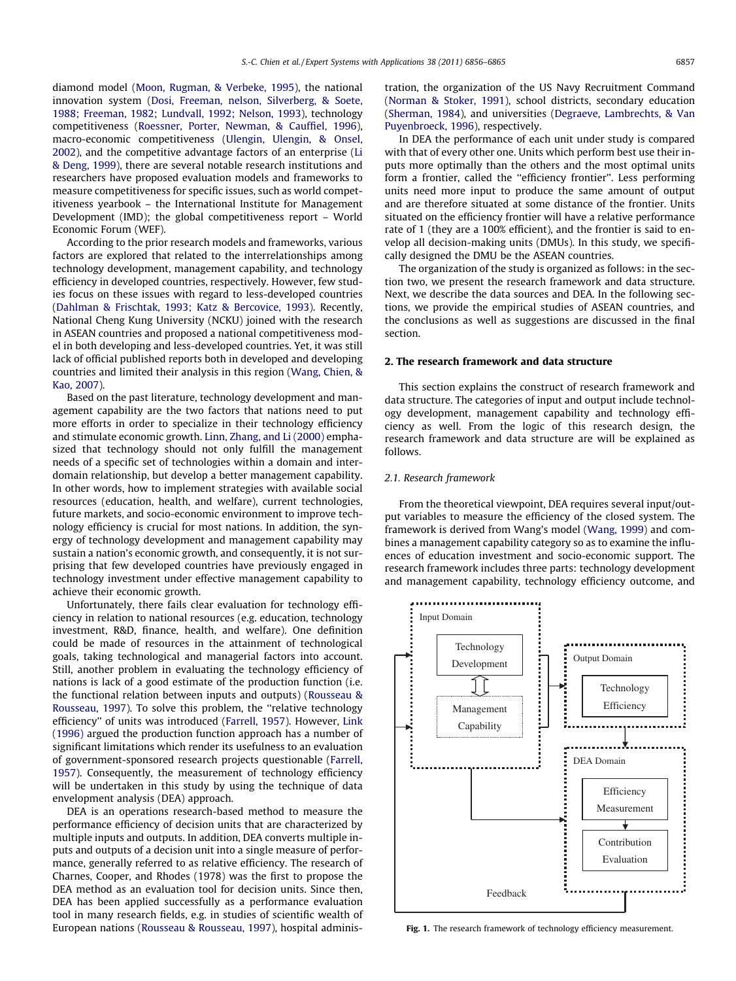diamond model ([Moon, Rugman, & Verbeke, 1995](#page--1-0)), the national innovation system [\(Dosi, Freeman, nelson, Silverberg, & Soete,](#page--1-0) [1988; Freeman, 1982; Lundvall, 1992; Nelson, 1993\)](#page--1-0), technology competitiveness ([Roessner, Porter, Newman, & Cauffiel, 1996\)](#page--1-0), macro-economic competitiveness [\(Ulengin, Ulengin, & Onsel,](#page--1-0) [2002](#page--1-0)), and the competitive advantage factors of an enterprise [\(Li](#page--1-0) [& Deng, 1999\)](#page--1-0), there are several notable research institutions and researchers have proposed evaluation models and frameworks to measure competitiveness for specific issues, such as world competitiveness yearbook – the International Institute for Management Development (IMD); the global competitiveness report – World Economic Forum (WEF).

According to the prior research models and frameworks, various factors are explored that related to the interrelationships among technology development, management capability, and technology efficiency in developed countries, respectively. However, few studies focus on these issues with regard to less-developed countries ([Dahlman & Frischtak, 1993; Katz & Bercovice, 1993](#page--1-0)). Recently, National Cheng Kung University (NCKU) joined with the research in ASEAN countries and proposed a national competitiveness model in both developing and less-developed countries. Yet, it was still lack of official published reports both in developed and developing countries and limited their analysis in this region ([Wang, Chien, &](#page--1-0) [Kao, 2007](#page--1-0)).

Based on the past literature, technology development and management capability are the two factors that nations need to put more efforts in order to specialize in their technology efficiency and stimulate economic growth. [Linn, Zhang, and Li \(2000\)](#page--1-0) emphasized that technology should not only fulfill the management needs of a specific set of technologies within a domain and interdomain relationship, but develop a better management capability. In other words, how to implement strategies with available social resources (education, health, and welfare), current technologies, future markets, and socio-economic environment to improve technology efficiency is crucial for most nations. In addition, the synergy of technology development and management capability may sustain a nation's economic growth, and consequently, it is not surprising that few developed countries have previously engaged in technology investment under effective management capability to achieve their economic growth.

Unfortunately, there fails clear evaluation for technology efficiency in relation to national resources (e.g. education, technology investment, R&D, finance, health, and welfare). One definition could be made of resources in the attainment of technological goals, taking technological and managerial factors into account. Still, another problem in evaluating the technology efficiency of nations is lack of a good estimate of the production function (i.e. the functional relation between inputs and outputs) ([Rousseau &](#page--1-0) [Rousseau, 1997](#page--1-0)). To solve this problem, the ''relative technology efficiency'' of units was introduced ([Farrell, 1957\)](#page--1-0). However, [Link](#page--1-0) [\(1996\)](#page--1-0) argued the production function approach has a number of significant limitations which render its usefulness to an evaluation of government-sponsored research projects questionable [\(Farrell,](#page--1-0) [1957\)](#page--1-0). Consequently, the measurement of technology efficiency will be undertaken in this study by using the technique of data envelopment analysis (DEA) approach.

DEA is an operations research-based method to measure the performance efficiency of decision units that are characterized by multiple inputs and outputs. In addition, DEA converts multiple inputs and outputs of a decision unit into a single measure of performance, generally referred to as relative efficiency. The research of Charnes, Cooper, and Rhodes (1978) was the first to propose the DEA method as an evaluation tool for decision units. Since then, DEA has been applied successfully as a performance evaluation tool in many research fields, e.g. in studies of scientific wealth of European nations ([Rousseau & Rousseau, 1997\)](#page--1-0), hospital administration, the organization of the US Navy Recruitment Command ([Norman & Stoker, 1991\)](#page--1-0), school districts, secondary education ([Sherman, 1984\)](#page--1-0), and universities [\(Degraeve, Lambrechts, & Van](#page--1-0) [Puyenbroeck, 1996\)](#page--1-0), respectively.

In DEA the performance of each unit under study is compared with that of every other one. Units which perform best use their inputs more optimally than the others and the most optimal units form a frontier, called the ''efficiency frontier''. Less performing units need more input to produce the same amount of output and are therefore situated at some distance of the frontier. Units situated on the efficiency frontier will have a relative performance rate of 1 (they are a 100% efficient), and the frontier is said to envelop all decision-making units (DMUs). In this study, we specifically designed the DMU be the ASEAN countries.

The organization of the study is organized as follows: in the section two, we present the research framework and data structure. Next, we describe the data sources and DEA. In the following sections, we provide the empirical studies of ASEAN countries, and the conclusions as well as suggestions are discussed in the final section.

### 2. The research framework and data structure

This section explains the construct of research framework and data structure. The categories of input and output include technology development, management capability and technology efficiency as well. From the logic of this research design, the research framework and data structure are will be explained as follows.

#### 2.1. Research framework

From the theoretical viewpoint, DEA requires several input/output variables to measure the efficiency of the closed system. The framework is derived from Wang's model [\(Wang, 1999](#page--1-0)) and combines a management capability category so as to examine the influences of education investment and socio-economic support. The research framework includes three parts: technology development and management capability, technology efficiency outcome, and



Fig. 1. The research framework of technology efficiency measurement.